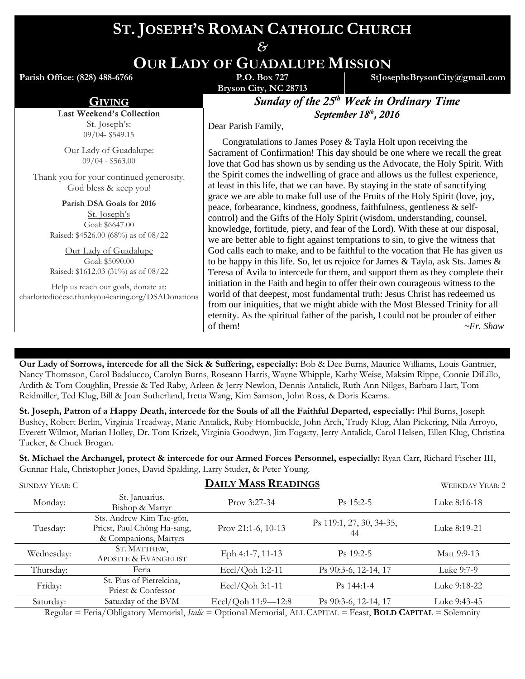# **ST. JOSEPH'S ROMAN CATHOLIC CHURCH**

*&* **OUR LADY OF GUADALUPE MISSION**

**Parish Office: (828) 488-6766** 

**Bryson City, NC 28713**

**StJosephsBrysonCity@gmail.com**

**GIVING Sunday of the 25<sup>th</sup> Week in Ordinary Time** *September 18 th , 2016*

Dear Parish Family,

 Congratulations to James Posey & Tayla Holt upon receiving the Sacrament of Confirmation! This day should be one where we recall the great love that God has shown us by sending us the Advocate, the Holy Spirit. With the Spirit comes the indwelling of grace and allows us the fullest experience, at least in this life, that we can have. By staying in the state of sanctifying grace we are able to make full use of the Fruits of the Holy Spirit (love, joy, peace, forbearance, kindness, goodness, faithfulness, gentleness & selfcontrol) and the Gifts of the Holy Spirit (wisdom, understanding, counsel, knowledge, fortitude, piety, and fear of the Lord). With these at our disposal, we are better able to fight against temptations to sin, to give the witness that God calls each to make, and to be faithful to the vocation that He has given us to be happy in this life. So, let us rejoice for James  $\&$  Tayla, ask Sts. James  $\&$ Teresa of Avila to intercede for them, and support them as they complete their initiation in the Faith and begin to offer their own courageous witness to the world of that deepest, most fundamental truth: Jesus Christ has redeemed us from our iniquities, that we might abide with the Most Blessed Trinity for all eternity. As the spiritual father of the parish, I could not be prouder of either of them! *~Fr. Shaw*

**Our Lady of Sorrows, intercede for all the Sick & Suffering, especially:** Bob & Dee Burns, Maurice Williams, Louis Gantnier, Nancy Thomason, Carol Badalucco, Carolyn Burns, Roseann Harris, Wayne Whipple, Kathy Weise, Maksim Rippe, Connie DiLillo, Ardith & Tom Coughlin, Pressie & Ted Raby, Arleen & Jerry Newlon, Dennis Antalick, Ruth Ann Nilges, Barbara Hart, Tom Reidmiller, Ted Klug, Bill & Joan Sutherland, Iretta Wang, Kim Samson, John Ross, & Doris Kearns.

**St. Joseph, Patron of a Happy Death, intercede for the Souls of all the Faithful Departed, especially:** Phil Burns, Joseph Bushey, Robert Berlin, Virginia Treadway, Marie Antalick, Ruby Hornbuckle, John Arch, Trudy Klug, Alan Pickering, Nila Arroyo, Everett Wilmot, Marian Holley, Dr. Tom Krizek, Virginia Goodwyn, Jim Fogarty, Jerry Antalick, Carol Helsen, Ellen Klug, Christina Tucker, & Chuck Brogan.

**St. Michael the Archangel, protect & intercede for our Armed Forces Personnel, especially:** Ryan Carr, Richard Fischer III, Gunnar Hale, Christopher Jones, David Spalding, Larry Studer, & Peter Young.

| SUNDAY YEAR: C | <b>DAILY MASS READINGS</b>                                                       |                      |                                | <b>WEEKDAY YEAR: 2</b> |
|----------------|----------------------------------------------------------------------------------|----------------------|--------------------------------|------------------------|
| Monday:        | St. Januarius,<br>Bishop & Martyr                                                | Prov 3:27-34         | $Ps$ 15:2-5                    | Luke 8:16-18           |
| Tuesday:       | Sts. Andrew Kim Tae-gŏn,<br>Priest, Paul Chong Ha-sang,<br>& Companions, Martyrs | Prov 21:1-6, $10-13$ | Ps 119:1, 27, 30, 34-35,<br>44 | Luke 8:19-21           |
| Wednesday:     | ST. MATTHEW,<br>APOSTLE & EVANGELIST                                             | Eph 4:1-7, 11-13     | $Ps$ 19:2-5                    | Matt 9:9-13            |
| Thursday:      | Feria                                                                            | Eccl/Qoh 1:2-11      | Ps 90:3-6, 12-14, 17           | Luke 9:7-9             |
| Friday:        | St. Pius of Pietrelcina,<br>Priest & Confessor                                   | Eccl/Qoh 3:1-11      | Ps 144:1-4                     | Luke 9:18-22           |
| Saturday:      | Saturday of the BVM                                                              | Eccl/Qoh 11:9-12:8   | Ps 90:3-6, 12-14, 17           | Luke 9:43-45           |
|                |                                                                                  |                      |                                |                        |

Regular = Feria/Obligatory Memorial, *Italic* = Optional Memorial, ALL CAPITAL = Feast, **BOLD CAPITAL** = Solemnity

Last Weekend's Collection St. Joseph's: 09/04- \$549.15

Our Lady of Guadalupe: 09/04 - \$563.00

Thank you for your continued generosity. God bless & keep you!

> **Parish DSA Goals for 2016** St. Joseph's Goal: \$6647.00 Raised: \$4526.00 (68%) as of 08/22

> Our Lady of Guadalupe Goal: \$5090.00 Raised: \$1612.03 (31%) as of 08/22

Help us reach our goals, donate at: charlottediocese.thankyou4caring.org/DSADonations